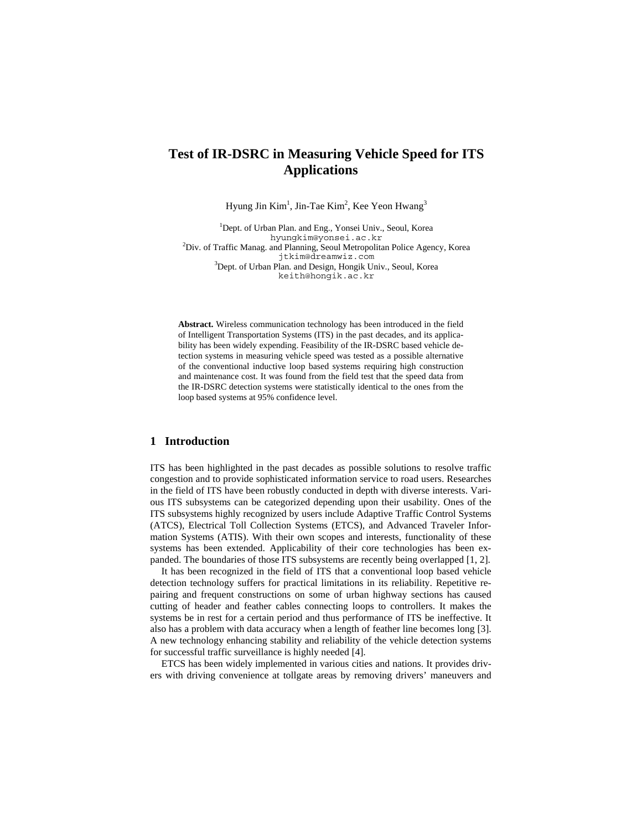# **Test of IR-DSRC in Measuring Vehicle Speed for ITS Applications**

Hyung Jin Kim<sup>1</sup>, Jin-Tae Kim<sup>2</sup>, Kee Yeon Hwang<sup>3</sup>

<sup>1</sup>Dept. of Urban Plan. and Eng., Yonsei Univ., Seoul, Korea hyungkim@yonsei.ac.kr<br><sup>2</sup>Div. of Traffic Manag. and Planning, Seoul Metropolitan Police Agency, Korea<sup>2</sup> jtkim@dreamwiz.com<br><sup>3</sup>Dept. of Urban Plan. and Design, Hongik Univ., Seoul, Korea keith@hongik.ac.kr

**Abstract.** Wireless communication technology has been introduced in the field of Intelligent Transportation Systems (ITS) in the past decades, and its applicability has been widely expending. Feasibility of the IR-DSRC based vehicle detection systems in measuring vehicle speed was tested as a possible alternative of the conventional inductive loop based systems requiring high construction and maintenance cost. It was found from the field test that the speed data from the IR-DSRC detection systems were statistically identical to the ones from the loop based systems at 95% confidence level.

#### **1 Introduction**

ITS has been highlighted in the past decades as possible solutions to resolve traffic congestion and to provide sophisticated information service to road users. Researches in the field of ITS have been robustly conducted in depth with diverse interests. Various ITS subsystems can be categorized depending upon their usability. Ones of the ITS subsystems highly recognized by users include Adaptive Traffic Control Systems (ATCS), Electrical Toll Collection Systems (ETCS), and Advanced Traveler Information Systems (ATIS). With their own scopes and interests, functionality of these systems has been extended. Applicability of their core technologies has been expanded. The boundaries of those ITS subsystems are recently being overlapped [1, 2].

It has been recognized in the field of ITS that a conventional loop based vehicle detection technology suffers for practical limitations in its reliability. Repetitive repairing and frequent constructions on some of urban highway sections has caused cutting of header and feather cables connecting loops to controllers. It makes the systems be in rest for a certain period and thus performance of ITS be ineffective. It also has a problem with data accuracy when a length of feather line becomes long [3]. A new technology enhancing stability and reliability of the vehicle detection systems for successful traffic surveillance is highly needed [4].

ETCS has been widely implemented in various cities and nations. It provides drivers with driving convenience at tollgate areas by removing drivers' maneuvers and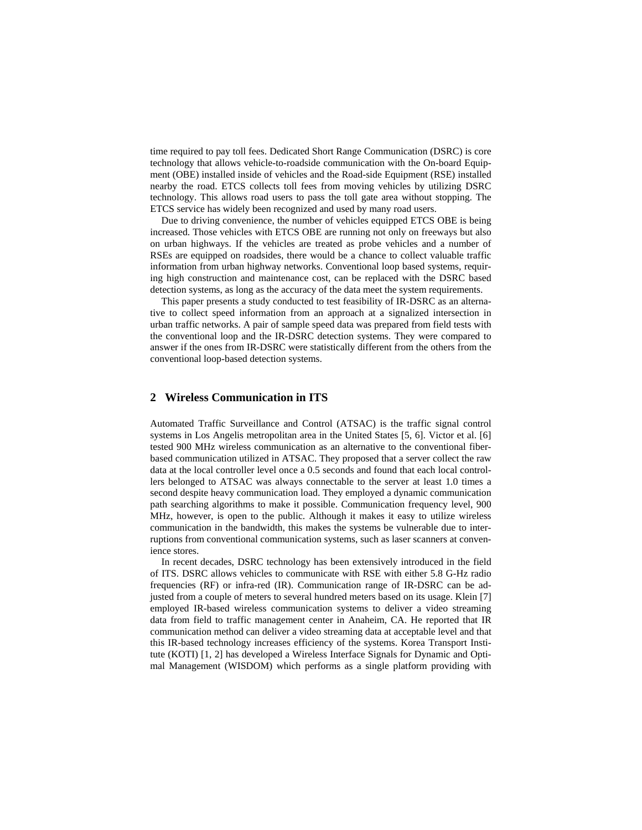time required to pay toll fees. Dedicated Short Range Communication (DSRC) is core technology that allows vehicle-to-roadside communication with the On-board Equipment (OBE) installed inside of vehicles and the Road-side Equipment (RSE) installed nearby the road. ETCS collects toll fees from moving vehicles by utilizing DSRC technology. This allows road users to pass the toll gate area without stopping. The ETCS service has widely been recognized and used by many road users.

Due to driving convenience, the number of vehicles equipped ETCS OBE is being increased. Those vehicles with ETCS OBE are running not only on freeways but also on urban highways. If the vehicles are treated as probe vehicles and a number of RSEs are equipped on roadsides, there would be a chance to collect valuable traffic information from urban highway networks. Conventional loop based systems, requiring high construction and maintenance cost, can be replaced with the DSRC based detection systems, as long as the accuracy of the data meet the system requirements.

This paper presents a study conducted to test feasibility of IR-DSRC as an alternative to collect speed information from an approach at a signalized intersection in urban traffic networks. A pair of sample speed data was prepared from field tests with the conventional loop and the IR-DSRC detection systems. They were compared to answer if the ones from IR-DSRC were statistically different from the others from the conventional loop-based detection systems.

#### **2 Wireless Communication in ITS**

Automated Traffic Surveillance and Control (ATSAC) is the traffic signal control systems in Los Angelis metropolitan area in the United States [5, 6]. Victor et al. [6] tested 900 MHz wireless communication as an alternative to the conventional fiberbased communication utilized in ATSAC. They proposed that a server collect the raw data at the local controller level once a 0.5 seconds and found that each local controllers belonged to ATSAC was always connectable to the server at least 1.0 times a second despite heavy communication load. They employed a dynamic communication path searching algorithms to make it possible. Communication frequency level, 900 MHz, however, is open to the public. Although it makes it easy to utilize wireless communication in the bandwidth, this makes the systems be vulnerable due to interruptions from conventional communication systems, such as laser scanners at convenience stores.

In recent decades, DSRC technology has been extensively introduced in the field of ITS. DSRC allows vehicles to communicate with RSE with either 5.8 G-Hz radio frequencies (RF) or infra-red (IR). Communication range of IR-DSRC can be adjusted from a couple of meters to several hundred meters based on its usage. Klein [7] employed IR-based wireless communication systems to deliver a video streaming data from field to traffic management center in Anaheim, CA. He reported that IR communication method can deliver a video streaming data at acceptable level and that this IR-based technology increases efficiency of the systems. Korea Transport Institute (KOTI) [1, 2] has developed a Wireless Interface Signals for Dynamic and Optimal Management (WISDOM) which performs as a single platform providing with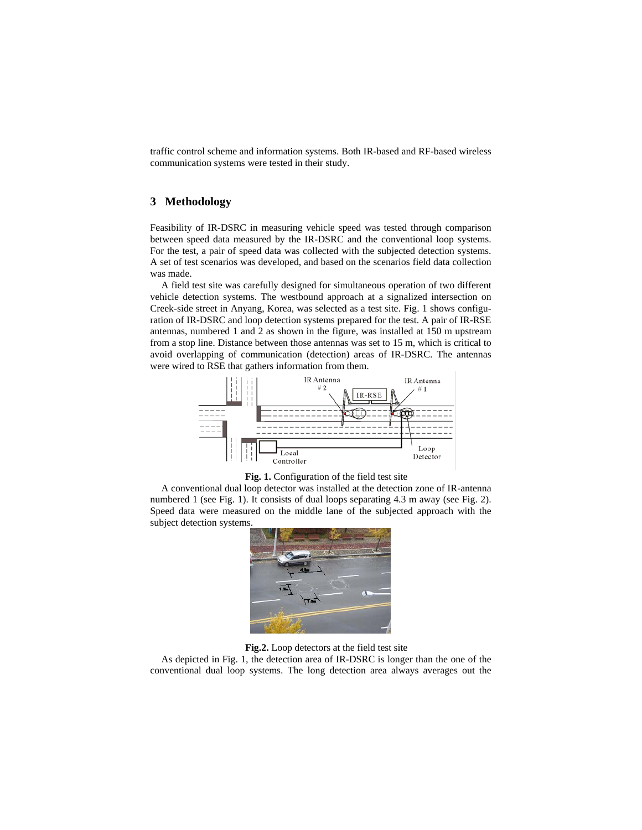traffic control scheme and information systems. Both IR-based and RF-based wireless communication systems were tested in their study.

#### **3 Methodology**

Feasibility of IR-DSRC in measuring vehicle speed was tested through comparison between speed data measured by the IR-DSRC and the conventional loop systems. For the test, a pair of speed data was collected with the subjected detection systems. A set of test scenarios was developed, and based on the scenarios field data collection was made.

A field test site was carefully designed for simultaneous operation of two different vehicle detection systems. The westbound approach at a signalized intersection on Creek-side street in Anyang, Korea, was selected as a test site. Fig. 1 shows configuration of IR-DSRC and loop detection systems prepared for the test. A pair of IR-RSE antennas, numbered 1 and 2 as shown in the figure, was installed at 150 m upstream from a stop line. Distance between those antennas was set to 15 m, which is critical to avoid overlapping of communication (detection) areas of IR-DSRC. The antennas were wired to RSE that gathers information from them.





A conventional dual loop detector was installed at the detection zone of IR-antenna numbered 1 (see Fig. 1). It consists of dual loops separating 4.3 m away (see Fig. 2). Speed data were measured on the middle lane of the subjected approach with the subject detection systems.



**Fig.2.** Loop detectors at the field test site

As depicted in Fig. 1, the detection area of IR-DSRC is longer than the one of the conventional dual loop systems. The long detection area always averages out the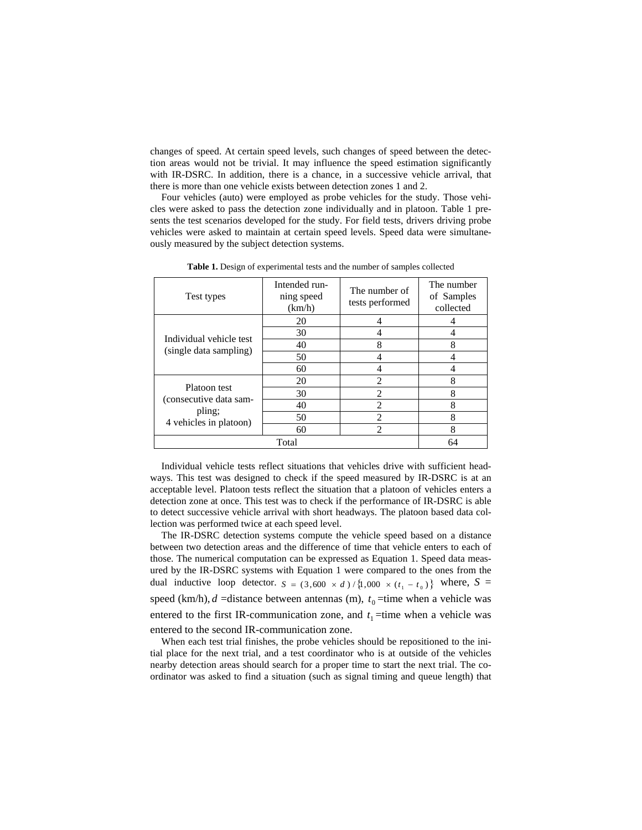changes of speed. At certain speed levels, such changes of speed between the detection areas would not be trivial. It may influence the speed estimation significantly with IR-DSRC. In addition, there is a chance, in a successive vehicle arrival, that there is more than one vehicle exists between detection zones 1 and 2.

Four vehicles (auto) were employed as probe vehicles for the study. Those vehicles were asked to pass the detection zone individually and in platoon. Table 1 presents the test scenarios developed for the study. For field tests, drivers driving probe vehicles were asked to maintain at certain speed levels. Speed data were simultaneously measured by the subject detection systems.

| Test types                                                                 | Intended run-<br>ning speed<br>(km/h) | The number of<br>tests performed | The number<br>of Samples<br>collected |
|----------------------------------------------------------------------------|---------------------------------------|----------------------------------|---------------------------------------|
|                                                                            | 20                                    |                                  |                                       |
| Individual vehicle test                                                    | 30                                    |                                  |                                       |
| (single data sampling)                                                     | 40                                    | 8                                | 8                                     |
|                                                                            | 50                                    |                                  |                                       |
|                                                                            | 60                                    |                                  |                                       |
| Platoon test<br>(consecutive data sam-<br>pling;<br>4 vehicles in platoon) | 20                                    | $\mathfrak{D}$                   | 8                                     |
|                                                                            | 30                                    | $\mathfrak{D}$                   | 8                                     |
|                                                                            | 40                                    | 2                                | 8                                     |
|                                                                            | 50                                    | $\mathfrak{D}$                   | 8                                     |
|                                                                            | 60                                    | $\mathfrak{D}$                   | 8                                     |
|                                                                            | 64                                    |                                  |                                       |

**Table 1.** Design of experimental tests and the number of samples collected

Individual vehicle tests reflect situations that vehicles drive with sufficient headways. This test was designed to check if the speed measured by IR-DSRC is at an acceptable level. Platoon tests reflect the situation that a platoon of vehicles enters a detection zone at once. This test was to check if the performance of IR-DSRC is able to detect successive vehicle arrival with short headways. The platoon based data collection was performed twice at each speed level.

The IR-DSRC detection systems compute the vehicle speed based on a distance between two detection areas and the difference of time that vehicle enters to each of those. The numerical computation can be expressed as Equation 1. Speed data measured by the IR-DSRC systems with Equation 1 were compared to the ones from the dual inductive loop detector.  $S = (3,600 \times d) / \{1,000 \times (t_1 - t_0)\}$  where,  $S =$ speed (km/h),  $d$  =distance between antennas (m),  $t_0$  =time when a vehicle was entered to the first IR-communication zone, and  $t_1$ =time when a vehicle was entered to the second IR-communication zone.

When each test trial finishes, the probe vehicles should be repositioned to the initial place for the next trial, and a test coordinator who is at outside of the vehicles nearby detection areas should search for a proper time to start the next trial. The coordinator was asked to find a situation (such as signal timing and queue length) that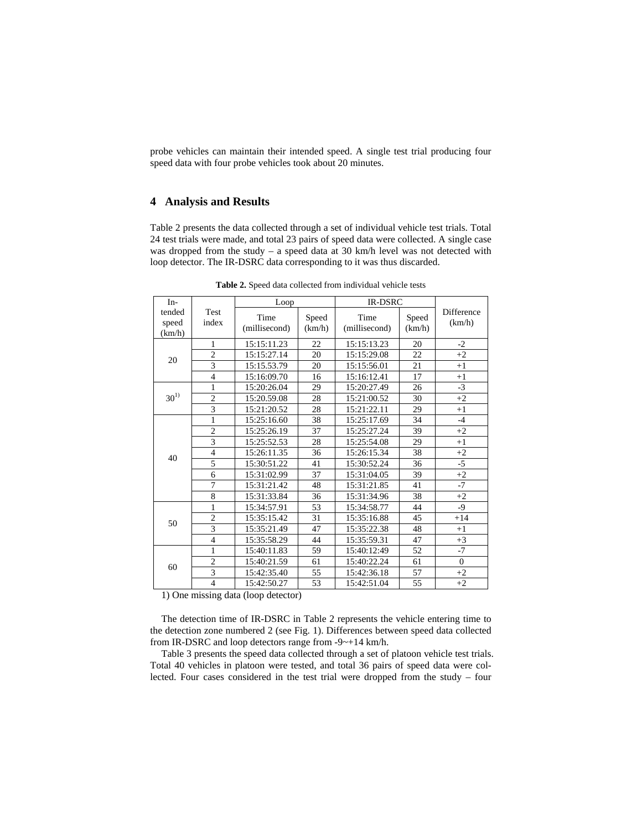probe vehicles can maintain their intended speed. A single test trial producing four speed data with four probe vehicles took about 20 minutes.

## **4 Analysis and Results**

Table 2 presents the data collected through a set of individual vehicle test trials. Total 24 test trials were made, and total 23 pairs of speed data were collected. A single case was dropped from the study – a speed data at 30 km/h level was not detected with loop detector. The IR-DSRC data corresponding to it was thus discarded.

| In-                       |                | Loop                  |                 | <b>IR-DSRC</b>        |                 |                      |
|---------------------------|----------------|-----------------------|-----------------|-----------------------|-----------------|----------------------|
| tended<br>speed<br>(km/h) | Test<br>index  | Time<br>(millisecond) | Speed<br>(km/h) | Time<br>(millisecond) | Speed<br>(km/h) | Difference<br>(km/h) |
|                           | $\mathbf{1}$   | 15:15:11.23           | 22              | 15:15:13.23           | 20              | $-2$                 |
| 20                        | $\overline{2}$ | 15:15:27.14           | 20              | 15:15:29.08           | 22              | $+2$                 |
|                           | 3              | 15:15.53.79           | 20              | 15:15:56.01           | 21              | $+1$                 |
|                           | 4              | 15:16:09.70           | 16              | 15:16:12.41           | 17              | $+1$                 |
|                           | 1              | 15:20:26.04           | 29              | 15:20:27.49           | 26              | $-3$                 |
| $30^{1}$                  | $\overline{c}$ | 15:20.59.08           | 28              | 15:21:00.52           | 30              | $+2$                 |
|                           | 3              | 15:21:20.52           | 28              | 15:21:22.11           | 29              | $+1$                 |
|                           | 1              | 15:25:16.60           | 38              | 15:25:17.69           | 34              | $-4$                 |
|                           | $\overline{c}$ | 15:25:26.19           | 37              | 15:25:27.24           | 39              | $+2$                 |
|                           | 3              | 15:25:52.53           | 28              | 15:25:54.08           | 29              | $+1$                 |
|                           | $\overline{4}$ | 15:26:11.35           | 36              | 15:26:15.34           | 38              | $+2$                 |
| 40                        | 5              | 15:30:51.22           | 41              | 15:30:52.24           | 36              | $-5$                 |
|                           | 6              | 15:31:02.99           | 37              | 15:31:04.05           | 39              | $+2$                 |
|                           | $\overline{7}$ | 15:31:21.42           | 48              | 15:31:21.85           | 41              | $-7$                 |
|                           | 8              | 15:31:33.84           | 36              | 15:31:34.96           | 38              | $+2$                 |
| 1                         |                | 15:34:57.91           | 53              | 15:34:58.77           | 44              | -9                   |
|                           | $\overline{2}$ | 15:35:15.42           | 31              | 15:35:16.88           | 45              | $+14$                |
| 50                        | 3              | 15:35:21.49           | 47              | 15:35:22.38           | 48              | $+1$                 |
|                           | $\overline{4}$ | 15:35:58.29           | 44              | 15:35:59.31           | 47              | $+3$                 |
|                           | 1              | 15:40:11.83           | 59              | 15:40:12:49           | 52              | $-7$                 |
| 60                        | $\overline{2}$ | 15:40:21.59           | 61              | 15:40:22.24           | 61              | $\Omega$             |
|                           | 3              | 15:42:35.40           | 55              | 15:42:36.18           | 57              | $+2$                 |
|                           | $\overline{4}$ | 15:42:50.27           | 53              | 15:42:51.04           | 55              | $+2$                 |

**Table 2.** Speed data collected from individual vehicle tests

1) One missing data (loop detector)

The detection time of IR-DSRC in Table 2 represents the vehicle entering time to the detection zone numbered 2 (see Fig. 1). Differences between speed data collected from IR-DSRC and loop detectors range from -9~+14 km/h.

Table 3 presents the speed data collected through a set of platoon vehicle test trials. Total 40 vehicles in platoon were tested, and total 36 pairs of speed data were collected. Four cases considered in the test trial were dropped from the study – four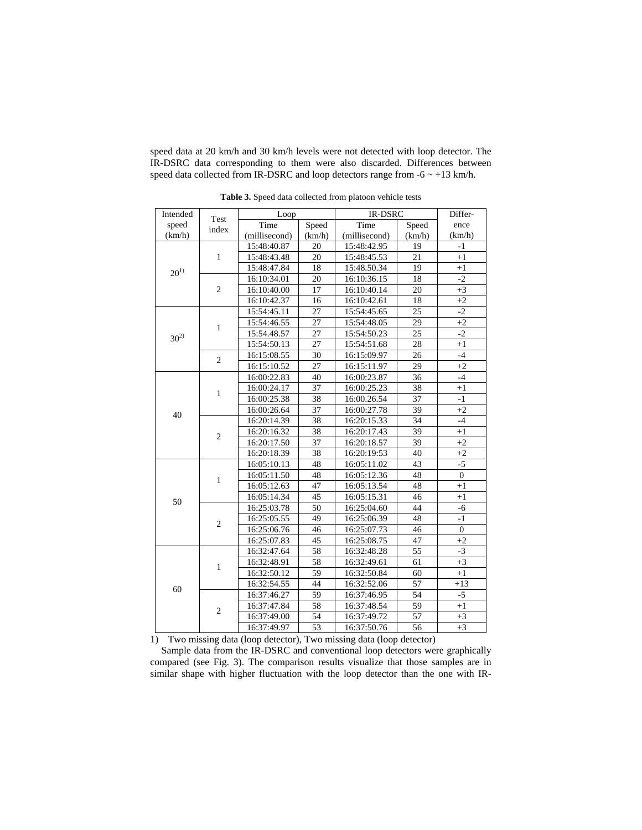speed data at 20 km/h and 30 km/h levels were not detected with loop detector. The IR-DSRC data corresponding to them were also discarded. Differences between speed data collected from IR-DSRC and loop detectors range from  $-6 \sim +13$  km/h.

| Intended     | Test           | Loop          |             | IR-DSRC       |                | Differ-          |
|--------------|----------------|---------------|-------------|---------------|----------------|------------------|
| speed        | index          | Time          | Speed       | Time          | Speed          | ence             |
| (km/h)       |                | (millisecond) | (km/h)      | (millisecond) | (km/h)         | (km/h)           |
|              |                | 15:48:40.87   | 20          | 15:48:42.95   | 19             | $-1$             |
|              | $\,1\,$        | 15:48:43.48   | 20          | 15:48:45.53   | 21             | $+1$             |
| $20^{1}$     |                | 15:48:47.84   | 18          | 15:48.50.34   | 19             | $+1$             |
|              |                | 16:10:34.01   | 20          | 16:10:36.15   | 18             | $-2$             |
|              | $\overline{c}$ | 16:10:40.00   | 17          | 16:10:40.14   | 20             | $+3$             |
|              |                | 16:10:42.37   | 16          | 16:10:42.61   | 18             | $+2$             |
|              |                | 15:54:45.11   | 27          | 15:54:45.65   | 25             | $-2$             |
|              | $\mathbf{1}$   | 15:54:46.55   | 27          | 15:54:48.05   | 29             | $+2$             |
| $30^{2}$     |                | 15:54.48.57   | 27          | 15:54:50.23   | 25             | $-2$             |
|              |                | 15:54:50.13   | 27          | 15:54:51.68   | 28             | $+1$             |
|              |                | 16:15:08.55   | 30          | 16:15:09.97   | 26             | $-4$             |
|              | $\overline{c}$ | 16:15:10.52   | 27          | 16:15:11.97   | 29             | $+2$             |
|              |                | 16:00:22.83   | 40          | 16:00:23.87   | 36             | $-4$             |
|              |                | 16:00:24.17   | 37          | 16:00:25.23   | 38             | $+1$             |
|              | $\mathbf{1}$   | 16:00:25.38   | 38          | 16:00.26.54   | 37             | $-1$             |
| 40           |                | 16:00:26.64   | 37          | 16:00:27.78   | 39             | $+2$             |
|              |                | 16:20:14.39   | 38          | 16:20:15.33   | 34             | $-4$             |
|              | $\overline{2}$ | 16:20:16.32   | 38          | 16:20:17.43   | 39             | $+1$             |
|              |                | 16:20:17.50   | 37          | 16:20:18.57   | 39             | $+2$             |
|              | 16:20:18.39    | 38            | 16:20:19:53 | 40            | $+2$           |                  |
|              |                | 16:05:10.13   | 48          | 16:05:11.02   | 43             | $-5$             |
|              | 16:05:11.50    | 48            | 16:05:12.36 | 48            | $\overline{0}$ |                  |
|              | $\mathbf{1}$   | 16:05:12.63   | 47          | 16:05:13.54   | 48             | $+1$             |
| 50           |                | 16:05:14.34   | 45          | 16:05:15.31   | 46             | $+1$             |
|              |                | 16:25:03.78   | 50          | 16:25:04.60   | 44             | $-6$             |
|              | $\overline{c}$ | 16:25:05.55   | 49          | 16:25:06.39   | 48             | $-1$             |
|              |                | 16:25:06.76   | 46          | 16:25:07.73   | 46             | $\boldsymbol{0}$ |
|              |                | 16:25:07.83   | 45          | 16:25:08.75   | 47             | $+2$             |
| $\mathbf{1}$ |                | 16:32:47.64   | 58          | 16:32:48.28   | 55             | $-3$             |
|              |                | 16:32:48.91   | 58          | 16:32:49.61   | 61             | $+3$             |
|              |                | 16:32:50.12   | 59          | 16:32:50.84   | 60             | $+1$             |
|              |                | 16:32:54.55   | 44          | 16:32:52.06   | 57             | $+13$            |
| 60           |                | 16:37:46.27   | 59          | 16:37:46.95   | 54             | $-5$             |
|              | $\overline{c}$ | 16:37:47.84   | 58          | 16:37:48.54   | 59             | $+1$             |
|              |                | 16:37:49.00   | 54          | 16:37:49.72   | 57             | $+3$             |
|              |                | 16:37:49.97   | 53          | 16:37:50.76   | 56             | $+3$             |

**Table 3.** Speed data collected from platoon vehicle tests

1) Two missing data (loop detector), Two missing data (loop detector)

Sample data from the IR-DSRC and conventional loop detectors were graphically compared (see Fig. 3). The comparison results visualize that those samples are in similar shape with higher fluctuation with the loop detector than the one with IR-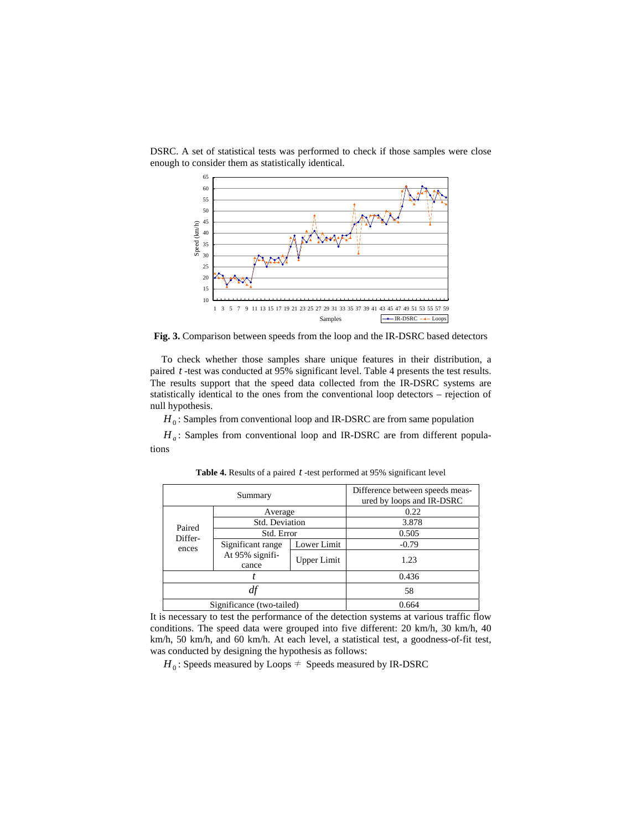

DSRC. A set of statistical tests was performed to check if those samples were close enough to consider them as statistically identical.

**Fig. 3.** Comparison between speeds from the loop and the IR-DSRC based detectors

To check whether those samples share unique features in their distribution, a paired *t* -test was conducted at 95% significant level. Table 4 presents the test results. The results support that the speed data collected from the IR-DSRC systems are statistically identical to the ones from the conventional loop detectors – rejection of null hypothesis.

 $H_0$ : Samples from conventional loop and IR-DSRC are from same population

*H<sub>a</sub>*: Samples from conventional loop and IR-DSRC are from different populations

| Summary                   |                                               | Difference between speeds meas-<br>ured by loops and IR-DSRC |         |  |
|---------------------------|-----------------------------------------------|--------------------------------------------------------------|---------|--|
|                           | Average                                       |                                                              | 0.22    |  |
|                           | Std. Deviation                                |                                                              | 3.878   |  |
| Paired<br>Differ-         | Std. Error                                    |                                                              | 0.505   |  |
| ences                     | Significant range<br>At 95% signifi-<br>cance | Lower Limit                                                  | $-0.79$ |  |
|                           |                                               | <b>Upper Limit</b>                                           | 1.23    |  |
|                           |                                               |                                                              | 0.436   |  |
|                           |                                               | 58                                                           |         |  |
| Significance (two-tailed) |                                               | 0.664                                                        |         |  |

**Table 4.** Results of a paired *t* -test performed at 95% significant level

It is necessary to test the performance of the detection systems at various traffic flow conditions. The speed data were grouped into five different: 20 km/h, 30 km/h, 40 km/h, 50 km/h, and 60 km/h. At each level, a statistical test, a goodness-of-fit test, was conducted by designing the hypothesis as follows:

 $H_0$ : Speeds measured by Loops  $\neq$  Speeds measured by IR-DSRC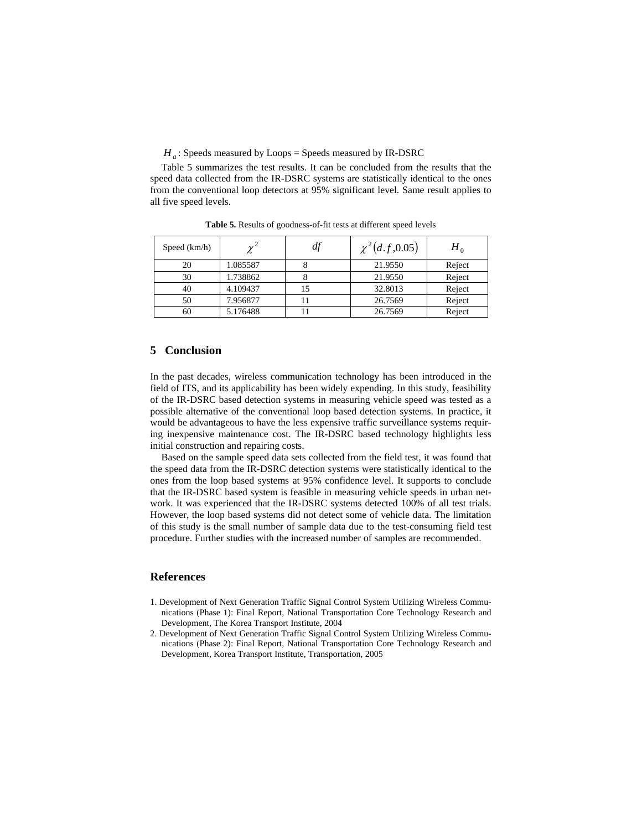$H_a$ : Speeds measured by Loops = Speeds measured by IR-DSRC

Table 5 summarizes the test results. It can be concluded from the results that the speed data collected from the IR-DSRC systems are statistically identical to the ones from the conventional loop detectors at 95% significant level. Same result applies to all five speed levels.

| Speed (km/h) | $\gamma^2$ | df | $\chi^2(d.f.0.05)$ |        |
|--------------|------------|----|--------------------|--------|
| 20           | 1.085587   |    | 21.9550            | Reject |
| 30           | 1.738862   |    | 21.9550            | Reject |
| 40           | 4.109437   | 15 | 32.8013            | Reject |
| 50           | 7.956877   |    | 26.7569            | Reject |
| 60           | 5.176488   |    | 26.7569            | Reject |

**Table 5.** Results of goodness-of-fit tests at different speed levels

### **5 Conclusion**

In the past decades, wireless communication technology has been introduced in the field of ITS, and its applicability has been widely expending. In this study, feasibility of the IR-DSRC based detection systems in measuring vehicle speed was tested as a possible alternative of the conventional loop based detection systems. In practice, it would be advantageous to have the less expensive traffic surveillance systems requiring inexpensive maintenance cost. The IR-DSRC based technology highlights less initial construction and repairing costs.

Based on the sample speed data sets collected from the field test, it was found that the speed data from the IR-DSRC detection systems were statistically identical to the ones from the loop based systems at 95% confidence level. It supports to conclude that the IR-DSRC based system is feasible in measuring vehicle speeds in urban network. It was experienced that the IR-DSRC systems detected 100% of all test trials. However, the loop based systems did not detect some of vehicle data. The limitation of this study is the small number of sample data due to the test-consuming field test procedure. Further studies with the increased number of samples are recommended.

#### **References**

- 1. Development of Next Generation Traffic Signal Control System Utilizing Wireless Communications (Phase 1): Final Report, National Transportation Core Technology Research and Development, The Korea Transport Institute, 2004
- 2. Development of Next Generation Traffic Signal Control System Utilizing Wireless Communications (Phase 2): Final Report, National Transportation Core Technology Research and Development, Korea Transport Institute, Transportation, 2005